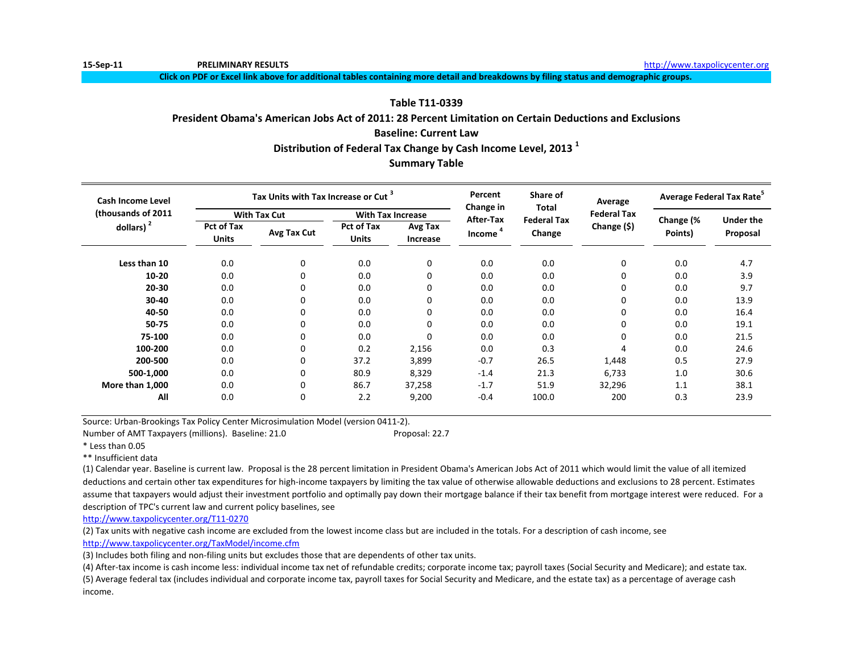**15-Sep-11 PRELIMINARY RESULTS** http://www.taxpolicycenter.org

**Click on PDF or Excel link above for additional tables containing more detail and breakdowns by filing status and demographic groups.**

# **Table T11-0339**

## **President Obama's American Jobs Act of 2011: 28 Percent Limitation on Certain Deductions and Exclusions**

# **Baseline: Current Law**

# **Distribution of Federal Tax Change by Cash Income Level, 2013 <sup>1</sup>**

# **Summary Table**

| Cash Income Level  |                                   | Tax Units with Tax Increase or Cut <sup>3</sup> |                                   |                     | Percent<br>Change in | Share of<br>Total<br><b>Federal Tax</b> | Average<br><b>Federal Tax</b><br>Change (\$) | Average Federal Tax Rate <sup>5</sup> |                  |
|--------------------|-----------------------------------|-------------------------------------------------|-----------------------------------|---------------------|----------------------|-----------------------------------------|----------------------------------------------|---------------------------------------|------------------|
| (thousands of 2011 |                                   | <b>With Tax Cut</b>                             | <b>With Tax Increase</b>          |                     | After-Tax            |                                         |                                              |                                       | <b>Under the</b> |
| dollars) $2$       | <b>Pct of Tax</b><br><b>Units</b> | Avg Tax Cut                                     | <b>Pct of Tax</b><br><b>Units</b> | Avg Tax<br>Increase | Income <sup>4</sup>  | Change                                  |                                              | Change (%<br>Points)                  | Proposal         |
| Less than 10       | 0.0                               | 0                                               | 0.0                               | 0                   | 0.0                  | 0.0                                     | 0                                            | 0.0                                   | 4.7              |
| $10 - 20$          | 0.0                               | $\Omega$                                        | 0.0                               | 0                   | 0.0                  | 0.0                                     | 0                                            | 0.0                                   | 3.9              |
| $20 - 30$          | 0.0                               | $\Omega$                                        | 0.0                               | 0                   | 0.0                  | 0.0                                     | 0                                            | 0.0                                   | 9.7              |
| 30-40              | 0.0                               | $\Omega$                                        | 0.0                               | 0                   | 0.0                  | 0.0                                     | 0                                            | 0.0                                   | 13.9             |
| 40-50              | 0.0                               | 0                                               | 0.0                               | 0                   | 0.0                  | 0.0                                     | 0                                            | 0.0                                   | 16.4             |
| 50-75              | 0.0                               | 0                                               | 0.0                               | 0                   | 0.0                  | 0.0                                     | 0                                            | 0.0                                   | 19.1             |
| 75-100             | 0.0                               | 0                                               | 0.0                               | 0                   | 0.0                  | 0.0                                     | 0                                            | 0.0                                   | 21.5             |
| 100-200            | 0.0                               | 0                                               | 0.2                               | 2,156               | 0.0                  | 0.3                                     | 4                                            | 0.0                                   | 24.6             |
| 200-500            | 0.0                               | 0                                               | 37.2                              | 3,899               | $-0.7$               | 26.5                                    | 1,448                                        | 0.5                                   | 27.9             |
| 500-1,000          | 0.0                               | 0                                               | 80.9                              | 8,329               | $-1.4$               | 21.3                                    | 6,733                                        | 1.0                                   | 30.6             |
| More than 1,000    | 0.0                               | 0                                               | 86.7                              | 37,258              | $-1.7$               | 51.9                                    | 32,296                                       | 1.1                                   | 38.1             |
| All                | 0.0                               | 0                                               | 2.2                               | 9,200               | $-0.4$               | 100.0                                   | 200                                          | 0.3                                   | 23.9             |

Source: Urban-Brookings Tax Policy Center Microsimulation Model (version 0411-2).

Number of AMT Taxpayers (millions). Baseline: 21.0 Proposal: 22.7

\* Less than 0.05

\*\* Insufficient data

(1) Calendar year. Baseline is current law. Proposal is the 28 percent limitation in President Obama's American Jobs Act of 2011 which would limit the value of all itemized deductions and certain other tax expenditures for high-income taxpayers by limiting the tax value of otherwise allowable deductions and exclusions to 28 percent. Estimates assume that taxpayers would adjust their investment portfolio and optimally pay down their mortgage balance if their tax benefit from mortgage interest were reduced. For a description of TPC's current law and current policy baselines, see

[http://www.taxpolicycente](http://www.taxpolicycenter.org/T11-0270)r.org/T11-0270

(2) Tax units with negative cash income are excluded from the lowest income class but are included in the totals. For a description of cash income, see [http://www.taxpolicycente](http://www.taxpolicycenter.org/TaxModel/income.cfm)r.org/TaxModel/income.cfm

(3) Includes both filing and non-filing units but excludes those that are dependents of other tax units.

(4) After-tax income is cash income less: individual income tax net of refundable credits; corporate income tax; payroll taxes (Social Security and Medicare); and estate tax. (5) Average federal tax (includes individual and corporate income tax, payroll taxes for Social Security and Medicare, and the estate tax) as a percentage of average cash income.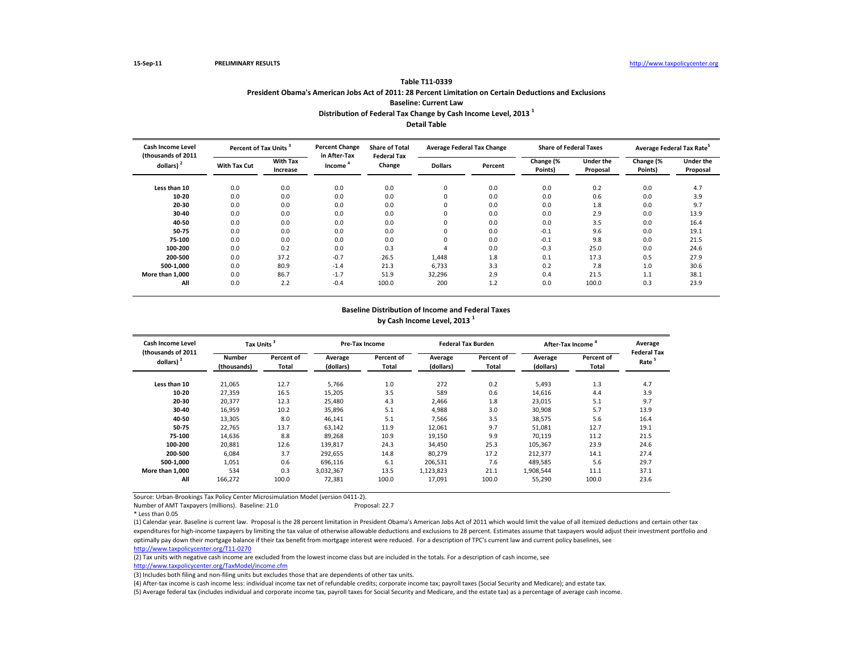| Table T11-0339                                                                                          |
|---------------------------------------------------------------------------------------------------------|
| President Obama's American Jobs Act of 2011: 28 Percent Limitation on Certain Deductions and Exclusions |
| <b>Baseline: Current Law</b>                                                                            |
| Distribution of Federal Tax Change by Cash Income Level, 2013 <sup>1</sup>                              |
| Detail Table                                                                                            |

**Table T11-0339**

| <b>Cash Income Level</b><br>(thousands of 2011<br>dollars) $2$ | Percent of Tax Units <sup>3</sup> |                             | <b>Percent Change</b>  | <b>Share of Total</b>        | <b>Average Federal Tax Change</b> |         | <b>Share of Federal Taxes</b> |                              | Average Federal Tax Rate <sup>5</sup> |                              |
|----------------------------------------------------------------|-----------------------------------|-----------------------------|------------------------|------------------------------|-----------------------------------|---------|-------------------------------|------------------------------|---------------------------------------|------------------------------|
|                                                                | <b>With Tax Cut</b>               | <b>With Tax</b><br>Increase | in After-Tax<br>Income | <b>Federal Tax</b><br>Change | <b>Dollars</b>                    | Percent | Change (%<br>Points)          | <b>Under the</b><br>Proposal | Change (%<br>Points)                  | <b>Under the</b><br>Proposal |
| Less than 10                                                   | 0.0                               | 0.0                         | 0.0                    | 0.0                          | $\Omega$                          | 0.0     | 0.0                           | 0.2                          | 0.0                                   | 4.7                          |
| 10-20                                                          | 0.0                               | 0.0                         | 0.0                    | 0.0                          |                                   | 0.0     | 0.0                           | 0.6                          | 0.0                                   | 3.9                          |
| 20-30                                                          | 0.0                               | 0.0                         | 0.0                    | 0.0                          |                                   | 0.0     | 0.0                           | 1.8                          | 0.0                                   | 9.7                          |
| 30-40                                                          | 0.0                               | 0.0                         | 0.0                    | 0.0                          |                                   | 0.0     | 0.0                           | 2.9                          | 0.0                                   | 13.9                         |
| 40-50                                                          | 0.0                               | 0.0                         | 0.0                    | 0.0                          |                                   | 0.0     | 0.0                           | 3.5                          | 0.0                                   | 16.4                         |
| 50-75                                                          | 0.0                               | 0.0                         | 0.0                    | 0.0                          |                                   | 0.0     | $-0.1$                        | 9.6                          | 0.0                                   | 19.1                         |
| 75-100                                                         | 0.0                               | 0.0                         | 0.0                    | 0.0                          | <sup>0</sup>                      | 0.0     | $-0.1$                        | 9.8                          | 0.0                                   | 21.5                         |
| 100-200                                                        | 0.0                               | 0.2                         | 0.0                    | 0.3                          |                                   | 0.0     | $-0.3$                        | 25.0                         | 0.0                                   | 24.6                         |
| 200-500                                                        | 0.0                               | 37.2                        | $-0.7$                 | 26.5                         | 1,448                             | 1.8     | 0.1                           | 17.3                         | 0.5                                   | 27.9                         |
| 500-1,000                                                      | 0.0                               | 80.9                        | $-1.4$                 | 21.3                         | 6,733                             | 3.3     | 0.2                           | 7.8                          | 1.0                                   | 30.6                         |
| More than 1,000                                                | 0.0                               | 86.7                        | $-1.7$                 | 51.9                         | 32,296                            | 2.9     | 0.4                           | 21.5                         | 1.1                                   | 38.1                         |
| All                                                            | 0.0                               | 2.2                         | $-0.4$                 | 100.0                        | 200                               | 1.2     | 0.0                           | 100.0                        | 0.3                                   | 23.9                         |

## **Baseline Distribution of Income and Federal Taxes by Cash Income Level, 2013 <sup>1</sup>**

| <b>Cash Income Level</b><br>(thousands of 2011 | Tax Units <sup>3</sup>       |                     |                      | Pre-Tax Income             |                      | <b>Federal Tax Burden</b> | After-Tax Income <sup>4</sup> | Average<br><b>Federal Tax</b> |                   |
|------------------------------------------------|------------------------------|---------------------|----------------------|----------------------------|----------------------|---------------------------|-------------------------------|-------------------------------|-------------------|
| dollars) $2$                                   | <b>Number</b><br>(thousands) | Percent of<br>Total | Average<br>(dollars) | Percent of<br><b>Total</b> | Average<br>(dollars) | Percent of<br>Total       | Average<br>(dollars)          | Percent of<br>Total           | Rate <sup>5</sup> |
| Less than 10                                   | 21,065                       | 12.7                | 5,766                | 1.0                        | 272                  | 0.2                       | 5,493                         | 1.3                           | 4.7               |
| 10-20                                          | 27,359                       | 16.5                | 15,205               | 3.5                        | 589                  | 0.6                       | 14,616                        | 4.4                           | 3.9               |
| 20-30                                          | 20,377                       | 12.3                | 25,480               | 4.3                        | 2,466                | 1.8                       | 23,015                        | 5.1                           | 9.7               |
| 30-40                                          | 16,959                       | 10.2                | 35,896               | 5.1                        | 4,988                | 3.0                       | 30,908                        | 5.7                           | 13.9              |
| 40-50                                          | 13,305                       | 8.0                 | 46,141               | 5.1                        | 7,566                | 3.5                       | 38,575                        | 5.6                           | 16.4              |
| 50-75                                          | 22,765                       | 13.7                | 63,142               | 11.9                       | 12,061               | 9.7                       | 51,081                        | 12.7                          | 19.1              |
| 75-100                                         | 14,636                       | 8.8                 | 89,268               | 10.9                       | 19,150               | 9.9                       | 70,119                        | 11.2                          | 21.5              |
| 100-200                                        | 20,881                       | 12.6                | 139,817              | 24.3                       | 34,450               | 25.3                      | 105,367                       | 23.9                          | 24.6              |
| 200-500                                        | 6.084                        | 3.7                 | 292.655              | 14.8                       | 80.279               | 17.2                      | 212,377                       | 14.1                          | 27.4              |
| 500-1.000                                      | 1.051                        | 0.6                 | 696.116              | 6.1                        | 206,531              | 7.6                       | 489,585                       | 5.6                           | 29.7              |
| More than 1.000                                | 534                          | 0.3                 | 3,032,367            | 13.5                       | 1,123,823            | 21.1                      | 1,908,544                     | 11.1                          | 37.1              |
| All                                            | 166,272                      | 100.0               | 72,381               | 100.0                      | 17,091               | 100.0                     | 55,290                        | 100.0                         | 23.6              |

Source: Urban-Brookings Tax Policy Center Microsimulation Model (version 0411-2).

Number of AMT Taxpayers (millions). Baseline: 21.0

(1) Calendar year. Baseline is current law. Proposal is the 28 percent limitation in President Obama's American Jobs Act of 2011 which would limit the value of all itemized deductions and certain other tax expenditures for high-income taxpayers by limiting the tax value of otherwise allowable deductions and exclusions to 28 percent. Estimates assume that taxpayers would adjust their investment portfolio and optimally pay down their mortgage balance if their tax benefit from mortgage interest were reduced. For a description of TPC's current law and current policy baselines, see [http://www.taxpolicycente](http://www.taxpolicycenter.org/T11-0270)r.org/T11-0270

(2) Tax units with negative cash income are excluded from the lowest income class but are included in the totals. For a description of cash income, see

[http://www.taxpolicycente](http://www.taxpolicycenter.org/TaxModel/income.cfm)r.org/TaxModel/income.cfm (3) Includes both filing and non-filing units but excludes those that are dependents of other tax units.

(4) After-tax income is cash income less: individual income tax net of refundable credits; corporate income tax; payroll taxes (Social Security and Medicare); and estate tax.

<sup>\*</sup> Less than 0.05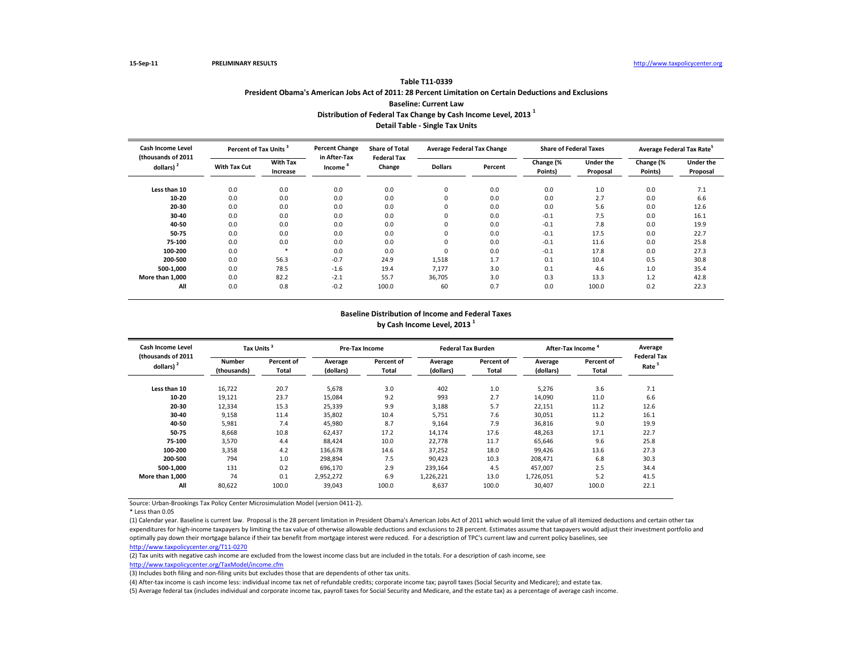| 18VIE 111-0337                                                                                          |
|---------------------------------------------------------------------------------------------------------|
| President Obama's American Jobs Act of 2011: 28 Percent Limitation on Certain Deductions and Exclusions |
| <b>Baseline: Current Law</b>                                                                            |
| Distribution of Federal Tax Change by Cash Income Level, 2013 <sup>1</sup>                              |

**Table T11-0339**

**Detail Table - Single Tax Units**

| <b>Cash Income Level</b><br>(thousands of 2011<br>dollars) $2$ | Percent of Tax Units <sup>3</sup> |                             | <b>Percent Change</b><br>in After-Tax | <b>Share of Total</b><br><b>Federal Tax</b> | <b>Average Federal Tax Change</b> |         | <b>Share of Federal Taxes</b> |                              | Average Federal Tax Rate <sup>5</sup> |                              |
|----------------------------------------------------------------|-----------------------------------|-----------------------------|---------------------------------------|---------------------------------------------|-----------------------------------|---------|-------------------------------|------------------------------|---------------------------------------|------------------------------|
|                                                                | <b>With Tax Cut</b>               | <b>With Tax</b><br>Increase | Income                                | Change                                      | <b>Dollars</b>                    | Percent | Change (%<br>Points)          | <b>Under the</b><br>Proposal | Change (%<br>Points)                  | <b>Under the</b><br>Proposal |
| Less than 10                                                   | 0.0                               | 0.0                         | 0.0                                   | 0.0                                         | 0                                 | 0.0     | 0.0                           | 1.0                          | 0.0                                   | 7.1                          |
| 10-20                                                          | 0.0                               | 0.0                         | 0.0                                   | 0.0                                         | 0                                 | 0.0     | 0.0                           | 2.7                          | 0.0                                   | 6.6                          |
| 20-30                                                          | 0.0                               | 0.0                         | 0.0                                   | 0.0                                         | 0                                 | 0.0     | 0.0                           | 5.6                          | 0.0                                   | 12.6                         |
| 30-40                                                          | 0.0                               | 0.0                         | 0.0                                   | 0.0                                         | 0                                 | 0.0     | $-0.1$                        | 7.5                          | 0.0                                   | 16.1                         |
| 40-50                                                          | 0.0                               | 0.0                         | 0.0                                   | 0.0                                         | 0                                 | 0.0     | $-0.1$                        | 7.8                          | 0.0                                   | 19.9                         |
| 50-75                                                          | 0.0                               | 0.0                         | 0.0                                   | 0.0                                         | 0                                 | 0.0     | $-0.1$                        | 17.5                         | 0.0                                   | 22.7                         |
| 75-100                                                         | 0.0                               | 0.0                         | 0.0                                   | 0.0                                         | 0                                 | 0.0     | $-0.1$                        | 11.6                         | 0.0                                   | 25.8                         |
| 100-200                                                        | 0.0                               | $\frac{1}{2}$               | 0.0                                   | 0.0                                         | $\Omega$                          | 0.0     | $-0.1$                        | 17.8                         | 0.0                                   | 27.3                         |
| 200-500                                                        | 0.0                               | 56.3                        | $-0.7$                                | 24.9                                        | 1,518                             | 1.7     | 0.1                           | 10.4                         | 0.5                                   | 30.8                         |
| 500-1.000                                                      | 0.0                               | 78.5                        | $-1.6$                                | 19.4                                        | 7,177                             | 3.0     | 0.1                           | 4.6                          | 1.0                                   | 35.4                         |
| More than 1.000                                                | 0.0                               | 82.2                        | $-2.1$                                | 55.7                                        | 36,705                            | 3.0     | 0.3                           | 13.3                         | 1.2                                   | 42.8                         |
| All                                                            | 0.0                               | 0.8                         | $-0.2$                                | 100.0                                       | 60                                | 0.7     | 0.0                           | 100.0                        | 0.2                                   | 22.3                         |

#### **Baseline Distribution of Income and Federal Taxes by Cash Income Level, 2013 <sup>1</sup>**

| <b>Cash Income Level</b><br>(thousands of 2011<br>dollars) $2$ | Tax Units <sup>3</sup> |                     |                      | Pre-Tax Income      |                      | <b>Federal Tax Burden</b> | After-Tax Income     | Average             |                            |
|----------------------------------------------------------------|------------------------|---------------------|----------------------|---------------------|----------------------|---------------------------|----------------------|---------------------|----------------------------|
|                                                                | Number<br>(thousands)  | Percent of<br>Total | Average<br>(dollars) | Percent of<br>Total | Average<br>(dollars) | Percent of<br>Total       | Average<br>(dollars) | Percent of<br>Total | <b>Federal Tax</b><br>Rate |
| Less than 10                                                   | 16,722                 | 20.7                | 5,678                | 3.0                 | 402                  | 1.0                       | 5,276                | 3.6                 | 7.1                        |
| 10-20                                                          | 19,121                 | 23.7                | 15,084               | 9.2                 | 993                  | 2.7                       | 14,090               | 11.0                | 6.6                        |
| 20-30                                                          | 12,334                 | 15.3                | 25,339               | 9.9                 | 3,188                | 5.7                       | 22,151               | 11.2                | 12.6                       |
| 30-40                                                          | 9,158                  | 11.4                | 35,802               | 10.4                | 5,751                | 7.6                       | 30,051               | 11.2                | 16.1                       |
| 40-50                                                          | 5,981                  | 7.4                 | 45,980               | 8.7                 | 9,164                | 7.9                       | 36,816               | 9.0                 | 19.9                       |
| 50-75                                                          | 8,668                  | 10.8                | 62,437               | 17.2                | 14,174               | 17.6                      | 48,263               | 17.1                | 22.7                       |
| 75-100                                                         | 3,570                  | 4.4                 | 88.424               | 10.0                | 22,778               | 11.7                      | 65,646               | 9.6                 | 25.8                       |
| 100-200                                                        | 3,358                  | 4.2                 | 136,678              | 14.6                | 37,252               | 18.0                      | 99,426               | 13.6                | 27.3                       |
| 200-500                                                        | 794                    | 1.0                 | 298,894              | 7.5                 | 90,423               | 10.3                      | 208,471              | 6.8                 | 30.3                       |
| 500-1,000                                                      | 131                    | 0.2                 | 696,170              | 2.9                 | 239,164              | 4.5                       | 457,007              | 2.5                 | 34.4                       |
| More than 1.000                                                | 74                     | 0.1                 | 2,952,272            | 6.9                 | 1,226,221            | 13.0                      | 1,726,051            | 5.2                 | 41.5                       |
| All                                                            | 80,622                 | 100.0               | 39,043               | 100.0               | 8,637                | 100.0                     | 30,407               | 100.0               | 22.1                       |

Source: Urban-Brookings Tax Policy Center Microsimulation Model (version 0411-2).

\* Less than 0.05

(1) Calendar year. Baseline is current law. Proposal is the 28 percent limitation in President Obama's American Jobs Act of 2011 which would limit the value of all itemized deductions and certain other tax expenditures for high-income taxpayers by limiting the tax value of otherwise allowable deductions and exclusions to 28 percent. Estimates assume that taxpayers would adjust their investment portfolio and optimally pay down their mortgage balance if their tax benefit from mortgage interest were reduced. For a description of TPC's current law and current policy baselines, see [http://www.taxpolicycente](http://www.taxpolicycenter.org/T11-0270)r.org/T11-0270

(2) Tax units with negative cash income are excluded from the lowest income class but are included in the totals. For a description of cash income, see

[http://www.taxpolicycente](http://www.taxpolicycenter.org/TaxModel/income.cfm)r.org/TaxModel/income.cfm

(3) Includes both filing and non-filing units but excludes those that are dependents of other tax units.

(4) After-tax income is cash income less: individual income tax net of refundable credits; corporate income tax; payroll taxes (Social Security and Medicare); and estate tax.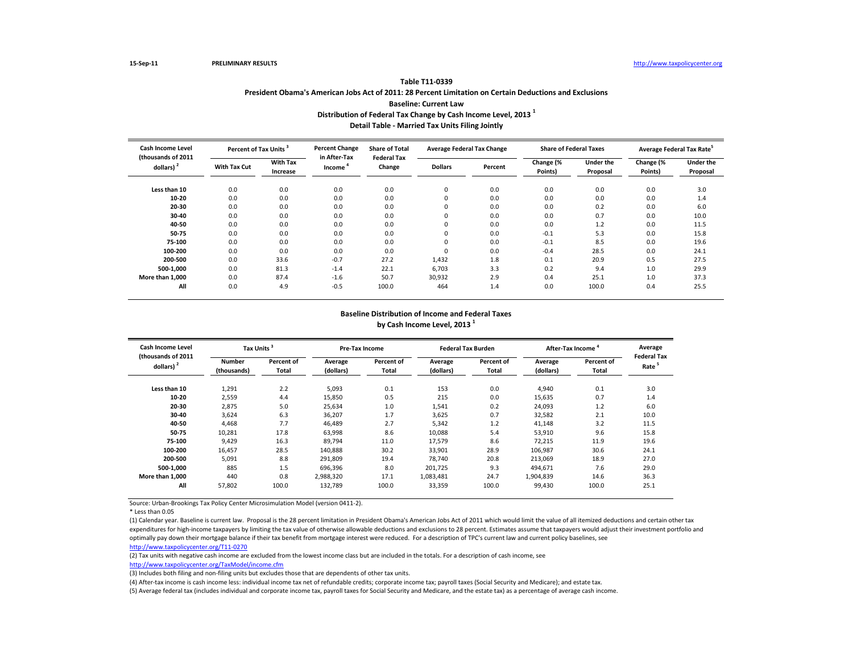| Table T11-0339                                                                                          |
|---------------------------------------------------------------------------------------------------------|
| President Obama's American Jobs Act of 2011: 28 Percent Limitation on Certain Deductions and Exclusions |
| <b>Baseline: Current Law</b>                                                                            |
| Distribution of Federal Tax Change by Cash Income Level. 2013 <sup>1</sup>                              |

**Detail Table - Married Tax Units Filing Jointly**

| Cash Income Level<br>(thousands of 2011<br>dollars) $2$ | Percent of Tax Units |                             | <b>Percent Change</b><br>in After-Tax | <b>Share of Total</b>        | <b>Average Federal Tax Change</b> |         | <b>Share of Federal Taxes</b> |                              | Average Federal Tax Rate <sup>5</sup> |                              |
|---------------------------------------------------------|----------------------|-----------------------------|---------------------------------------|------------------------------|-----------------------------------|---------|-------------------------------|------------------------------|---------------------------------------|------------------------------|
|                                                         | <b>With Tax Cut</b>  | <b>With Tax</b><br>Increase | Income                                | <b>Federal Tax</b><br>Change | <b>Dollars</b>                    | Percent | Change (%<br>Points)          | <b>Under the</b><br>Proposal | Change (%<br>Points)                  | <b>Under the</b><br>Proposal |
| Less than 10                                            | 0.0                  | 0.0                         | 0.0                                   | 0.0                          | 0                                 | 0.0     | 0.0                           | 0.0                          | 0.0                                   | 3.0                          |
| 10-20                                                   | 0.0                  | 0.0                         | 0.0                                   | 0.0                          | 0                                 | 0.0     | 0.0                           | 0.0                          | 0.0                                   | 1.4                          |
| 20-30                                                   | 0.0                  | 0.0                         | 0.0                                   | 0.0                          | 0                                 | 0.0     | 0.0                           | 0.2                          | 0.0                                   | 6.0                          |
| 30-40                                                   | 0.0                  | 0.0                         | 0.0                                   | 0.0                          | $\Omega$                          | 0.0     | 0.0                           | 0.7                          | 0.0                                   | 10.0                         |
| 40-50                                                   | 0.0                  | 0.0                         | 0.0                                   | 0.0                          | $\Omega$                          | 0.0     | 0.0                           | 1.2                          | 0.0                                   | 11.5                         |
| 50-75                                                   | 0.0                  | 0.0                         | 0.0                                   | 0.0                          | $\Omega$                          | 0.0     | $-0.1$                        | 5.3                          | 0.0                                   | 15.8                         |
| 75-100                                                  | 0.0                  | 0.0                         | 0.0                                   | 0.0                          | $\Omega$                          | 0.0     | $-0.1$                        | 8.5                          | 0.0                                   | 19.6                         |
| 100-200                                                 | 0.0                  | 0.0                         | 0.0                                   | 0.0                          | $\Omega$                          | 0.0     | $-0.4$                        | 28.5                         | 0.0                                   | 24.1                         |
| 200-500                                                 | 0.0                  | 33.6                        | $-0.7$                                | 27.2                         | 1,432                             | 1.8     | 0.1                           | 20.9                         | 0.5                                   | 27.5                         |
| 500-1.000                                               | 0.0                  | 81.3                        | $-1.4$                                | 22.1                         | 6,703                             | 3.3     | 0.2                           | 9.4                          | 1.0                                   | 29.9                         |
| More than 1,000                                         | 0.0                  | 87.4                        | $-1.6$                                | 50.7                         | 30,932                            | 2.9     | 0.4                           | 25.1                         | 1.0                                   | 37.3                         |
| All                                                     | 0.0                  | 4.9                         | $-0.5$                                | 100.0                        | 464                               | 1.4     | 0.0                           | 100.0                        | 0.4                                   | 25.5                         |

#### **Baseline Distribution of Income and Federal Taxes by Cash Income Level, 2013 <sup>1</sup>**

| <b>Cash Income Level</b><br>(thousands of 2011<br>dollars) $2$ | Tax Units <sup>3</sup>       |                     |                      | Pre-Tax Income             |                      | <b>Federal Tax Burden</b> | After-Tax Income     | Average             |                                         |
|----------------------------------------------------------------|------------------------------|---------------------|----------------------|----------------------------|----------------------|---------------------------|----------------------|---------------------|-----------------------------------------|
|                                                                | <b>Number</b><br>(thousands) | Percent of<br>Total | Average<br>(dollars) | Percent of<br><b>Total</b> | Average<br>(dollars) | Percent of<br>Total       | Average<br>(dollars) | Percent of<br>Total | <b>Federal Tax</b><br>Rate <sup>5</sup> |
| Less than 10                                                   | 1,291                        | 2.2                 | 5,093                | 0.1                        | 153                  | 0.0                       | 4,940                | 0.1                 | 3.0                                     |
| 10-20                                                          | 2,559                        | 4.4                 | 15,850               | 0.5                        | 215                  | 0.0                       | 15,635               | 0.7                 | 1.4                                     |
| 20-30                                                          | 2,875                        | 5.0                 | 25,634               | 1.0                        | 1,541                | 0.2                       | 24,093               | 1.2                 | 6.0                                     |
| 30-40                                                          | 3,624                        | 6.3                 | 36,207               | 1.7                        | 3,625                | 0.7                       | 32,582               | 2.1                 | 10.0                                    |
| 40-50                                                          | 4.468                        | 7.7                 | 46,489               | 2.7                        | 5,342                | 1.2                       | 41,148               | 3.2                 | 11.5                                    |
| 50-75                                                          | 10,281                       | 17.8                | 63,998               | 8.6                        | 10,088               | 5.4                       | 53,910               | 9.6                 | 15.8                                    |
| 75-100                                                         | 9.429                        | 16.3                | 89.794               | 11.0                       | 17,579               | 8.6                       | 72,215               | 11.9                | 19.6                                    |
| 100-200                                                        | 16,457                       | 28.5                | 140,888              | 30.2                       | 33,901               | 28.9                      | 106,987              | 30.6                | 24.1                                    |
| 200-500                                                        | 5,091                        | 8.8                 | 291,809              | 19.4                       | 78,740               | 20.8                      | 213,069              | 18.9                | 27.0                                    |
| 500-1,000                                                      | 885                          | 1.5                 | 696,396              | 8.0                        | 201,725              | 9.3                       | 494,671              | 7.6                 | 29.0                                    |
| More than 1.000                                                | 440                          | 0.8                 | 2,988,320            | 17.1                       | 1,083,481            | 24.7                      | 1,904,839            | 14.6                | 36.3                                    |
| All                                                            | 57,802                       | 100.0               | 132,789              | 100.0                      | 33,359               | 100.0                     | 99,430               | 100.0               | 25.1                                    |

Source: Urban-Brookings Tax Policy Center Microsimulation Model (version 0411-2).

\* Less than 0.05

(1) Calendar year. Baseline is current law. Proposal is the 28 percent limitation in President Obama's American Jobs Act of 2011 which would limit the value of all itemized deductions and certain other tax expenditures for high-income taxpayers by limiting the tax value of otherwise allowable deductions and exclusions to 28 percent. Estimates assume that taxpayers would adjust their investment portfolio and optimally pay down their mortgage balance if their tax benefit from mortgage interest were reduced. For a description of TPC's current law and current policy baselines, see [http://www.taxpolicycente](http://www.taxpolicycenter.org/T11-0270)r.org/T11-0270

(2) Tax units with negative cash income are excluded from the lowest income class but are included in the totals. For a description of cash income, see

[http://www.taxpolicycente](http://www.taxpolicycenter.org/TaxModel/income.cfm)r.org/TaxModel/income.cfm

(3) Includes both filing and non-filing units but excludes those that are dependents of other tax units.

(4) After-tax income is cash income less: individual income tax net of refundable credits; corporate income tax; payroll taxes (Social Security and Medicare); and estate tax.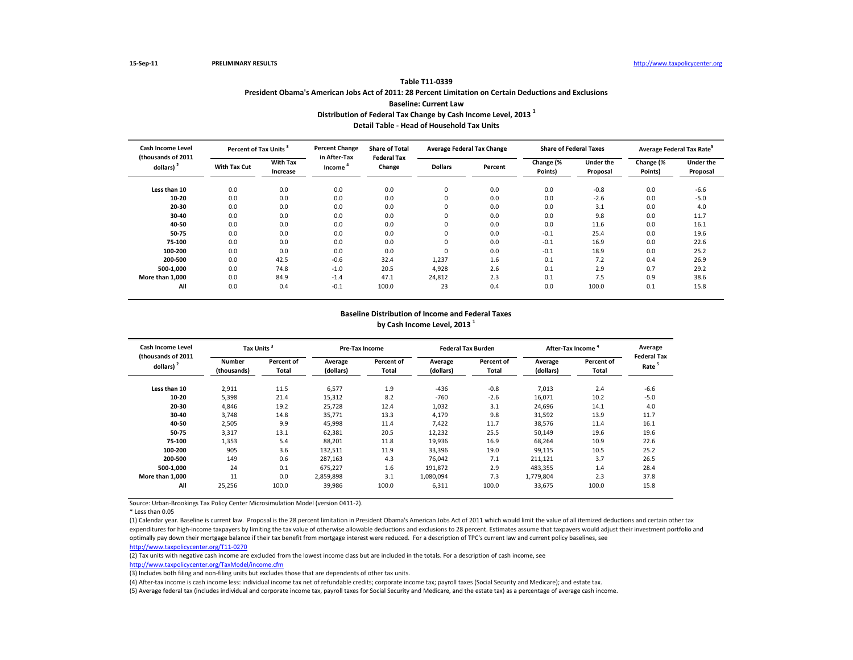| 14012 111-0339                                                                                          |
|---------------------------------------------------------------------------------------------------------|
| President Obama's American Jobs Act of 2011: 28 Percent Limitation on Certain Deductions and Exclusions |
| <b>Baseline: Current Law</b>                                                                            |
| Distribution of Federal Tax Change by Cash Income Level. 2013 <sup>1</sup>                              |

**Table T11-0339**

**Detail Table - Head of Household Tax Units**

| <b>Cash Income Level</b><br>(thousands of 2011<br>dollars) <sup>2</sup> | Percent of Tax Units <sup>3</sup> |                             | <b>Percent Change</b>  | <b>Share of Total</b>        | <b>Average Federal Tax Change</b> |         | <b>Share of Federal Taxes</b> |                              | Average Federal Tax Rate <sup>5</sup> |                              |
|-------------------------------------------------------------------------|-----------------------------------|-----------------------------|------------------------|------------------------------|-----------------------------------|---------|-------------------------------|------------------------------|---------------------------------------|------------------------------|
|                                                                         | With Tax Cut                      | <b>With Tax</b><br>Increase | in After-Tax<br>Income | <b>Federal Tax</b><br>Change | <b>Dollars</b>                    | Percent | Change (%<br>Points)          | <b>Under the</b><br>Proposal | Change (%<br>Points)                  | <b>Under the</b><br>Proposal |
| Less than 10                                                            | 0.0                               | 0.0                         | 0.0                    | 0.0                          | 0                                 | 0.0     | 0.0                           | $-0.8$                       | 0.0                                   | $-6.6$                       |
| 10-20                                                                   | 0.0                               | 0.0                         | 0.0                    | 0.0                          | 0                                 | 0.0     | 0.0                           | $-2.6$                       | 0.0                                   | $-5.0$                       |
| 20-30                                                                   | 0.0                               | 0.0                         | 0.0                    | 0.0                          | 0                                 | 0.0     | 0.0                           | 3.1                          | 0.0                                   | 4.0                          |
| 30-40                                                                   | 0.0                               | 0.0                         | 0.0                    | 0.0                          | $\Omega$                          | 0.0     | 0.0                           | 9.8                          | 0.0                                   | 11.7                         |
| 40-50                                                                   | 0.0                               | 0.0                         | 0.0                    | 0.0                          | $\Omega$                          | 0.0     | 0.0                           | 11.6                         | 0.0                                   | 16.1                         |
| 50-75                                                                   | 0.0                               | 0.0                         | 0.0                    | 0.0                          | $\Omega$                          | 0.0     | $-0.1$                        | 25.4                         | 0.0                                   | 19.6                         |
| 75-100                                                                  | 0.0                               | 0.0                         | 0.0                    | 0.0                          | $\Omega$                          | 0.0     | $-0.1$                        | 16.9                         | 0.0                                   | 22.6                         |
| 100-200                                                                 | 0.0                               | 0.0                         | 0.0                    | 0.0                          | $\Omega$                          | 0.0     | $-0.1$                        | 18.9                         | 0.0                                   | 25.2                         |
| 200-500                                                                 | 0.0                               | 42.5                        | $-0.6$                 | 32.4                         | 1,237                             | 1.6     | 0.1                           | 7.2                          | 0.4                                   | 26.9                         |
| 500-1.000                                                               | 0.0                               | 74.8                        | $-1.0$                 | 20.5                         | 4,928                             | 2.6     | 0.1                           | 2.9                          | 0.7                                   | 29.2                         |
| More than 1.000                                                         | 0.0                               | 84.9                        | $-1.4$                 | 47.1                         | 24,812                            | 2.3     | 0.1                           | 7.5                          | 0.9                                   | 38.6                         |
| All                                                                     | 0.0                               | 0.4                         | $-0.1$                 | 100.0                        | 23                                | 0.4     | 0.0                           | 100.0                        | 0.1                                   | 15.8                         |

#### **Baseline Distribution of Income and Federal Taxes by Cash Income Level, 2013 <sup>1</sup>**

| Cash Income Level<br>(thousands of 2011<br>dollars) $2$ | Tax Units <sup>3</sup> |                     | Pre-Tax Income       |                     |                      | <b>Federal Tax Burden</b> | After-Tax Income     | Average             |                            |
|---------------------------------------------------------|------------------------|---------------------|----------------------|---------------------|----------------------|---------------------------|----------------------|---------------------|----------------------------|
|                                                         | Number<br>(thousands)  | Percent of<br>Total | Average<br>(dollars) | Percent of<br>Total | Average<br>(dollars) | Percent of<br>Total       | Average<br>(dollars) | Percent of<br>Total | <b>Federal Tax</b><br>Rate |
| Less than 10                                            | 2,911                  | 11.5                | 6,577                | 1.9                 | $-436$               | $-0.8$                    | 7,013                | 2.4                 | $-6.6$                     |
| 10-20                                                   | 5,398                  | 21.4                | 15,312               | 8.2                 | $-760$               | $-2.6$                    | 16,071               | 10.2                | $-5.0$                     |
| 20-30                                                   | 4,846                  | 19.2                | 25,728               | 12.4                | 1,032                | 3.1                       | 24,696               | 14.1                | 4.0                        |
| 30-40                                                   | 3,748                  | 14.8                | 35,771               | 13.3                | 4,179                | 9.8                       | 31,592               | 13.9                | 11.7                       |
| 40-50                                                   | 2,505                  | 9.9                 | 45,998               | 11.4                | 7,422                | 11.7                      | 38,576               | 11.4                | 16.1                       |
| 50-75                                                   | 3,317                  | 13.1                | 62,381               | 20.5                | 12,232               | 25.5                      | 50,149               | 19.6                | 19.6                       |
| 75-100                                                  | 1,353                  | 5.4                 | 88,201               | 11.8                | 19,936               | 16.9                      | 68,264               | 10.9                | 22.6                       |
| 100-200                                                 | 905                    | 3.6                 | 132,511              | 11.9                | 33,396               | 19.0                      | 99,115               | 10.5                | 25.2                       |
| 200-500                                                 | 149                    | 0.6                 | 287.163              | 4.3                 | 76.042               | 7.1                       | 211,121              | 3.7                 | 26.5                       |
| 500-1.000                                               | 24                     | 0.1                 | 675,227              | 1.6                 | 191,872              | 2.9                       | 483,355              | 1.4                 | 28.4                       |
| More than 1.000                                         | 11                     | 0.0                 | 2,859,898            | 3.1                 | 1,080,094            | 7.3                       | 1,779,804            | 2.3                 | 37.8                       |
| All                                                     | 25,256                 | 100.0               | 39,986               | 100.0               | 6,311                | 100.0                     | 33,675               | 100.0               | 15.8                       |

Source: Urban-Brookings Tax Policy Center Microsimulation Model (version 0411-2).

\* Less than 0.05

(1) Calendar year. Baseline is current law. Proposal is the 28 percent limitation in President Obama's American Jobs Act of 2011 which would limit the value of all itemized deductions and certain other tax expenditures for high-income taxpayers by limiting the tax value of otherwise allowable deductions and exclusions to 28 percent. Estimates assume that taxpayers would adjust their investment portfolio and optimally pay down their mortgage balance if their tax benefit from mortgage interest were reduced. For a description of TPC's current law and current policy baselines, see [http://www.taxpolicycente](http://www.taxpolicycenter.org/T11-0270)r.org/T11-0270

(2) Tax units with negative cash income are excluded from the lowest income class but are included in the totals. For a description of cash income, see

[http://www.taxpolicycente](http://www.taxpolicycenter.org/TaxModel/income.cfm)r.org/TaxModel/income.cfm

(3) Includes both filing and non-filing units but excludes those that are dependents of other tax units.

(4) After-tax income is cash income less: individual income tax net of refundable credits; corporate income tax; payroll taxes (Social Security and Medicare); and estate tax.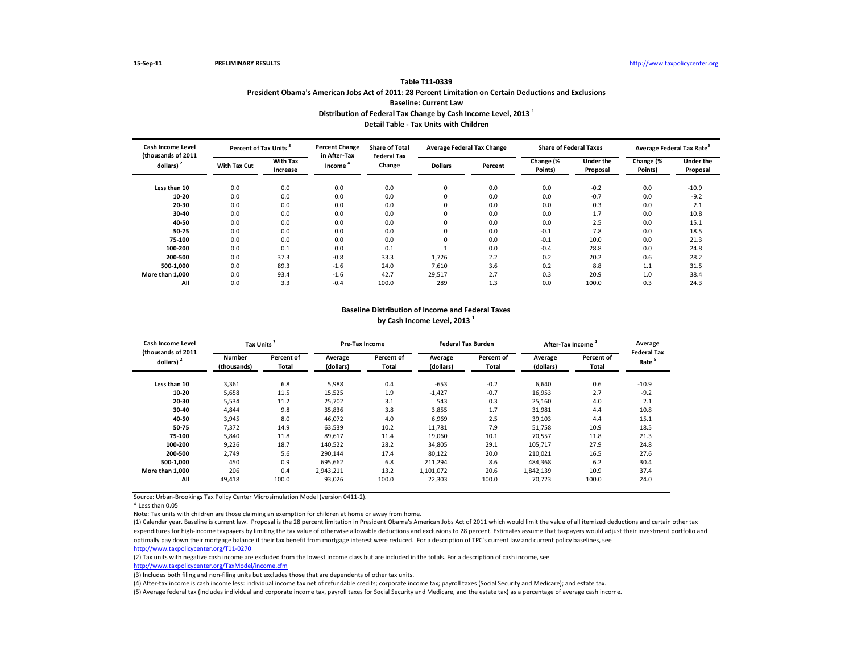## **Table T11-0339 President Obama's American Jobs Act of 2011: 28 Percent Limitation on Certain Deductions and Exclusions Baseline: Current Law Distribution of Federal Tax Change by Cash Income Level, 2013 <sup>1</sup> Detail Table - Tax Units with Children**

| <b>Cash Income Level</b><br>(thousands of 2011<br>dollars) $2$ | Percent of Tax Units <sup>3</sup> |                             | <b>Percent Change</b>               | <b>Share of Total</b>        | <b>Average Federal Tax Change</b> |         | <b>Share of Federal Taxes</b> |                              | Average Federal Tax Rate <sup>5</sup> |                              |
|----------------------------------------------------------------|-----------------------------------|-----------------------------|-------------------------------------|------------------------------|-----------------------------------|---------|-------------------------------|------------------------------|---------------------------------------|------------------------------|
|                                                                | <b>With Tax Cut</b>               | <b>With Tax</b><br>Increase | in After-Tax<br>Income <sup>*</sup> | <b>Federal Tax</b><br>Change | <b>Dollars</b>                    | Percent | Change (%<br>Points)          | <b>Under the</b><br>Proposal | Change (%<br>Points)                  | <b>Under the</b><br>Proposal |
| Less than 10                                                   | 0.0                               | 0.0                         | 0.0                                 | 0.0                          | $\Omega$                          | 0.0     | 0.0                           | $-0.2$                       | 0.0                                   | $-10.9$                      |
| 10-20                                                          | 0.0                               | 0.0                         | 0.0                                 | 0.0                          | 0                                 | 0.0     | 0.0                           | $-0.7$                       | 0.0                                   | $-9.2$                       |
| 20-30                                                          | 0.0                               | 0.0                         | 0.0                                 | 0.0                          | 0                                 | 0.0     | 0.0                           | 0.3                          | 0.0                                   | 2.1                          |
| 30-40                                                          | 0.0                               | 0.0                         | 0.0                                 | 0.0                          | $\Omega$                          | 0.0     | 0.0                           | 1.7                          | 0.0                                   | 10.8                         |
| 40-50                                                          | 0.0                               | 0.0                         | 0.0                                 | 0.0                          | $\Omega$                          | 0.0     | 0.0                           | 2.5                          | 0.0                                   | 15.1                         |
| 50-75                                                          | 0.0                               | 0.0                         | 0.0                                 | 0.0                          | $\Omega$                          | 0.0     | $-0.1$                        | 7.8                          | 0.0                                   | 18.5                         |
| 75-100                                                         | 0.0                               | 0.0                         | 0.0                                 | 0.0                          | $\Omega$                          | 0.0     | $-0.1$                        | 10.0                         | 0.0                                   | 21.3                         |
| 100-200                                                        | 0.0                               | 0.1                         | 0.0                                 | 0.1                          |                                   | 0.0     | $-0.4$                        | 28.8                         | 0.0                                   | 24.8                         |
| 200-500                                                        | 0.0                               | 37.3                        | $-0.8$                              | 33.3                         | 1,726                             | 2.2     | 0.2                           | 20.2                         | 0.6                                   | 28.2                         |
| 500-1.000                                                      | 0.0                               | 89.3                        | $-1.6$                              | 24.0                         | 7.610                             | 3.6     | 0.2                           | 8.8                          | 1.1                                   | 31.5                         |
| More than 1,000                                                | 0.0                               | 93.4                        | $-1.6$                              | 42.7                         | 29,517                            | 2.7     | 0.3                           | 20.9                         | 1.0                                   | 38.4                         |
| All                                                            | 0.0                               | 3.3                         | $-0.4$                              | 100.0                        | 289                               | 1.3     | 0.0                           | 100.0                        | 0.3                                   | 24.3                         |

#### **Baseline Distribution of Income and Federal Taxes by Cash Income Level, 2013 <sup>1</sup>**

| Cash Income Level<br>(thousands of 2011<br>dollars) $2$ | Tax Units <sup>3</sup>       |                     | <b>Pre-Tax Income</b> |                            |                      | <b>Federal Tax Burden</b> | After-Tax Income <sup>4</sup> | Average<br><b>Federal Tax</b> |                   |
|---------------------------------------------------------|------------------------------|---------------------|-----------------------|----------------------------|----------------------|---------------------------|-------------------------------|-------------------------------|-------------------|
|                                                         | <b>Number</b><br>(thousands) | Percent of<br>Total | Average<br>(dollars)  | Percent of<br><b>Total</b> | Average<br>(dollars) | Percent of<br>Total       | Average<br>(dollars)          | Percent of<br>Total           | Rate <sup>5</sup> |
| Less than 10                                            | 3,361                        | 6.8                 | 5,988                 | 0.4                        | $-653$               | $-0.2$                    | 6,640                         | 0.6                           | $-10.9$           |
| 10-20                                                   | 5,658                        | 11.5                | 15,525                | 1.9                        | $-1,427$             | $-0.7$                    | 16,953                        | 2.7                           | $-9.2$            |
| 20-30                                                   | 5,534                        | 11.2                | 25,702                | 3.1                        | 543                  | 0.3                       | 25,160                        | 4.0                           | 2.1               |
| 30-40                                                   | 4.844                        | 9.8                 | 35,836                | 3.8                        | 3,855                | 1.7                       | 31,981                        | 4.4                           | 10.8              |
| 40-50                                                   | 3,945                        | 8.0                 | 46,072                | 4.0                        | 6,969                | 2.5                       | 39,103                        | 4.4                           | 15.1              |
| 50-75                                                   | 7,372                        | 14.9                | 63,539                | 10.2                       | 11,781               | 7.9                       | 51,758                        | 10.9                          | 18.5              |
| 75-100                                                  | 5,840                        | 11.8                | 89,617                | 11.4                       | 19,060               | 10.1                      | 70,557                        | 11.8                          | 21.3              |
| 100-200                                                 | 9,226                        | 18.7                | 140,522               | 28.2                       | 34,805               | 29.1                      | 105,717                       | 27.9                          | 24.8              |
| 200-500                                                 | 2,749                        | 5.6                 | 290,144               | 17.4                       | 80,122               | 20.0                      | 210,021                       | 16.5                          | 27.6              |
| 500-1.000                                               | 450                          | 0.9                 | 695,662               | 6.8                        | 211,294              | 8.6                       | 484,368                       | 6.2                           | 30.4              |
| More than 1.000                                         | 206                          | 0.4                 | 2,943,211             | 13.2                       | 1,101,072            | 20.6                      | 1,842,139                     | 10.9                          | 37.4              |
| All                                                     | 49,418                       | 100.0               | 93,026                | 100.0                      | 22,303               | 100.0                     | 70,723                        | 100.0                         | 24.0              |

Source: Urban-Brookings Tax Policy Center Microsimulation Model (version 0411-2).

\* Less than 0.05

Note: Tax units with children are those claiming an exemption for children at home or away from home.

(1) Calendar year. Baseline is current law. Proposal is the 28 percent limitation in President Obama's American Jobs Act of 2011 which would limit the value of all itemized deductions and certain other tax expenditures for high-income taxpayers by limiting the tax value of otherwise allowable deductions and exclusions to 28 percent. Estimates assume that taxpayers would adjust their investment portfolio and optimally pay down their mortgage balance if their tax benefit from mortgage interest were reduced. For a description of TPC's current law and current policy baselines, see [http://www.taxpolicycente](http://www.taxpolicycenter.org/T11-0270)r.org/T11-0270

(2) Tax units with negative cash income are excluded from the lowest income class but are included in the totals. For a description of cash income, see

[http://www.taxpolicycente](http://www.taxpolicycenter.org/TaxModel/income.cfm)r.org/TaxModel/income.cfm

(3) Includes both filing and non-filing units but excludes those that are dependents of other tax units.

(4) After-tax income is cash income less: individual income tax net of refundable credits; corporate income tax; payroll taxes (Social Security and Medicare); and estate tax.